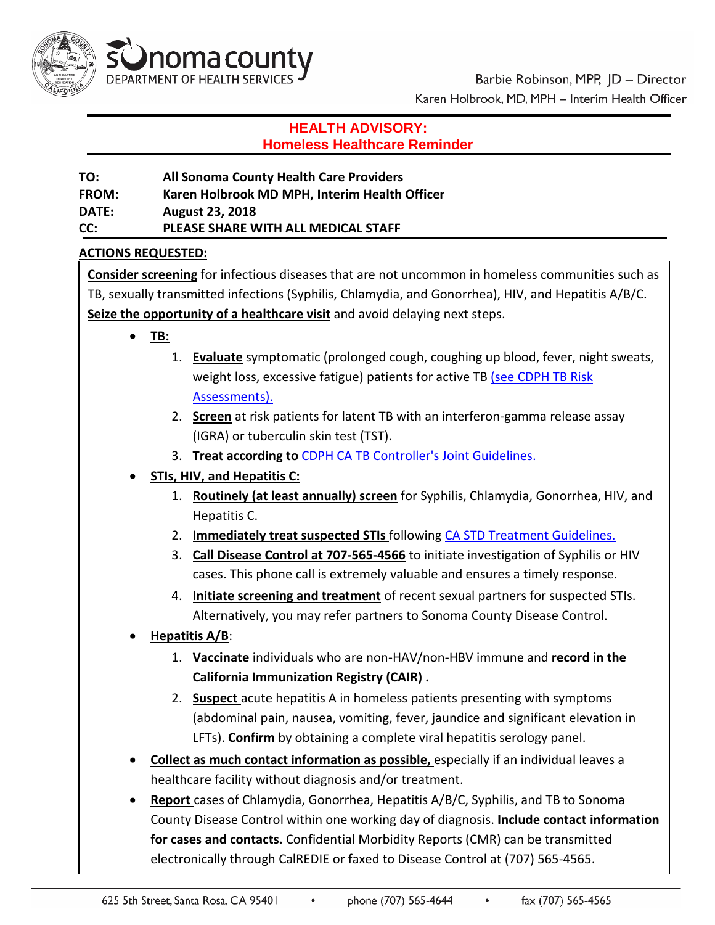

Karen Holbrook, MD, MPH - Interim Health Officer

# **HEALTH ADVISORY: Homeless Healthcare Reminder**

**TO: All Sonoma County Health Care Providers FROM: Karen Holbrook MD MPH, Interim Health Officer DATE: August 23, 2018 CC: PLEASE SHARE WITH ALL MEDICAL STAFF**

### **ACTIONS REQUESTED:**

**Consider screening** for infectious diseases that are not uncommon in homeless communities such as TB, sexually transmitted infections (Syphilis, Chlamydia, and Gonorrhea), HIV, and Hepatitis A/B/C. **Seize the opportunity of a healthcare visit** and avoid delaying next steps.

- **TB:**
	- 1. **Evaluate** symptomatic (prolonged cough, coughing up blood, fever, night sweats, weight loss, excessive fatigue) patients for active TB [\(see CDPH TB Risk](https://www.cdph.ca.gov/Programs/CID/DCDC/Pages/TB-Risk-Assessment.aspx) [Assessments\).](https://www.cdph.ca.gov/Programs/CID/DCDC/Pages/TB-Risk-Assessment.aspx)
	- 2. **Screen** at risk patients for latent TB with an interferon-gamma release assay (IGRA) or tuberculin skin test (TST).
	- 3. **Treat according to** [CDPH CA TB Controller's Joint Guidelines.](https://ctca.org/menus/cdph-ctca-joint-guidelines.html)
- **STIs, HIV, and Hepatitis C:**
	- 1. **Routinely (at least annually) screen** for Syphilis, Chlamydia, Gonorrhea, HIV, and Hepatitis C.
	- 2. **Immediately treat suspected STIs** following [CA STD Treatment Guidelines.](https://www.cdph.ca.gov/Programs/CID/DCDC/CDPH%20Document%20Library/STD-Treatment-Guidelines-Color.pdf)
	- 3. **Call Disease Control at 707-565-4566** to initiate investigation of Syphilis or HIV cases. This phone call is extremely valuable and ensures a timely response.
	- 4. **Initiate screening and treatment** of recent sexual partners for suspected STIs. Alternatively, you may refer partners to Sonoma County Disease Control.
- **Hepatitis A/B**:
	- 1. **Vaccinate** individuals who are non-HAV/non-HBV immune and **record in the California Immunization Registry (CAIR) .**
	- 2. **Suspect** acute hepatitis A in homeless patients presenting with symptoms (abdominal pain, nausea, vomiting, fever, jaundice and significant elevation in LFTs). **Confirm** by obtaining a complete viral hepatitis serology panel.
- **Collect as much contact information as possible,** especially if an individual leaves a healthcare facility without diagnosis and/or treatment.
- **Report** cases of Chlamydia, Gonorrhea, Hepatitis A/B/C, Syphilis, and TB to Sonoma County Disease Control within one working day of diagnosis. **Include contact information for cases and contacts.** Confidential Morbidity Reports (CMR) can be transmitted electronically through CalREDIE or faxed to Disease Control at (707) 565-4565.